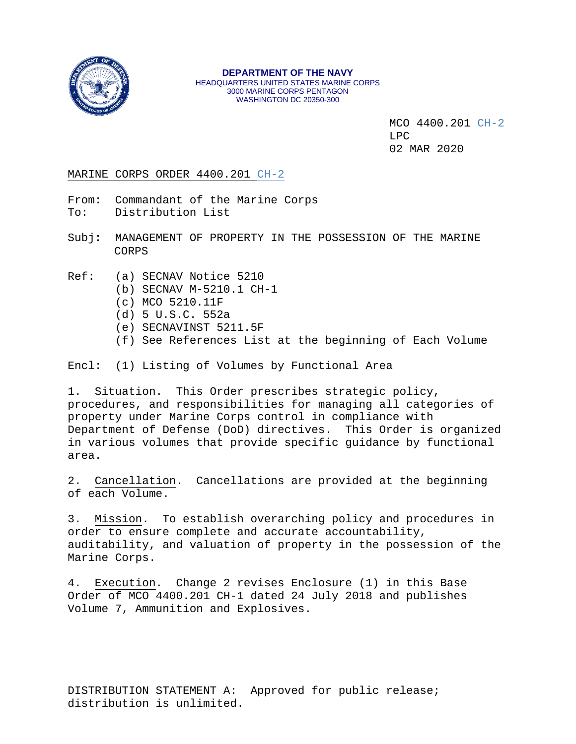

MCO 4400.201 CH-2 LPC 02 MAR 2020

### MARINE CORPS ORDER 4400.201 CH-2

From: Commandant of the Marine Corps<br>To: Distribution List Distribution List

Subj**:** MANAGEMENT OF PROPERTY IN THE POSSESSION OF THE MARINE CORPS

- Ref: (a) SECNAV Notice 5210
	- (b) SECNAV M-5210.1 CH-1
	- (c) MCO 5210.11F
	- (d) 5 U.S.C. 552a
	- (e) SECNAVINST 5211.5F
	- (f) See References List at the beginning of Each Volume

Encl: (1) Listing of Volumes by Functional Area

1. Situation. This Order prescribes strategic policy, procedures, and responsibilities for managing all categories of property under Marine Corps control in compliance with Department of Defense (DoD) directives. This Order is organized in various volumes that provide specific guidance by functional area.

2. Cancellation. Cancellations are provided at the beginning of each Volume.

3. Mission. To establish overarching policy and procedures in order to ensure complete and accurate accountability, auditability, and valuation of property in the possession of the Marine Corps.

4. Execution. Change 2 revises Enclosure (1) in this Base Order of MCO 4400.201 CH-1 dated 24 July 2018 and publishes Volume 7, Ammunition and Explosives.

DISTRIBUTION STATEMENT A: Approved for public release; distribution is unlimited.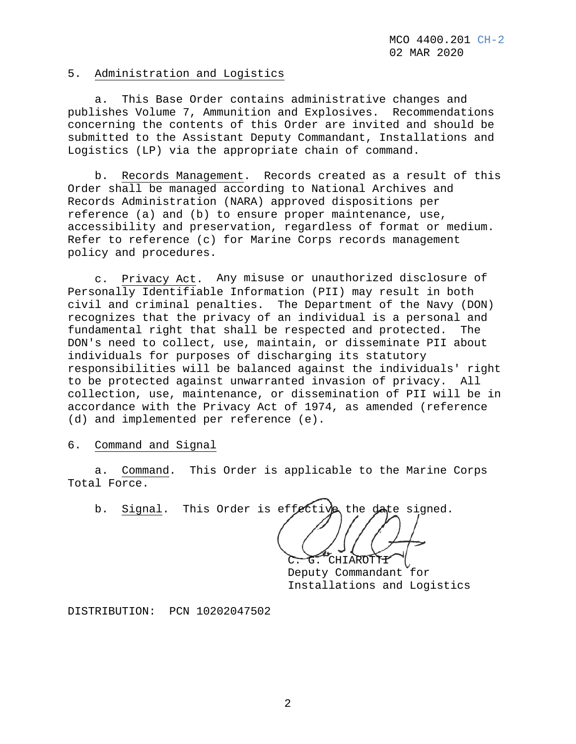### 5. Administration and Logistics

 a. This Base Order contains administrative changes and publishes Volume 7, Ammunition and Explosives. Recommendations concerning the contents of this Order are invited and should be submitted to the Assistant Deputy Commandant, Installations and Logistics (LP) via the appropriate chain of command.

 b. Records Management. Records created as a result of this Order shall be managed according to National Archives and Records Administration (NARA) approved dispositions per reference (a) and (b) to ensure proper maintenance, use, accessibility and preservation, regardless of format or medium. Refer to reference (c) for Marine Corps records management policy and procedures.

 c. Privacy Act. Any misuse or unauthorized disclosure of Personally Identifiable Information (PII) may result in both civil and criminal penalties. The Department of the Navy (DON) recognizes that the privacy of an individual is a personal and fundamental right that shall be respected and protected. The DON's need to collect, use, maintain, or disseminate PII about individuals for purposes of discharging its statutory responsibilities will be balanced against the individuals' right to be protected against unwarranted invasion of privacy. All collection, use, maintenance, or dissemination of PII will be in accordance with the Privacy Act of 1974, as amended (reference (d) and implemented per reference (e).

## 6. Command and Signal

 a. Command. This Order is applicable to the Marine Corps Total Force.

b. Signal. This Order is effective the date signed.

CHIAROT**TI** Deputy Commandant for Installations and Logistics

DISTRIBUTION: PCN 10202047502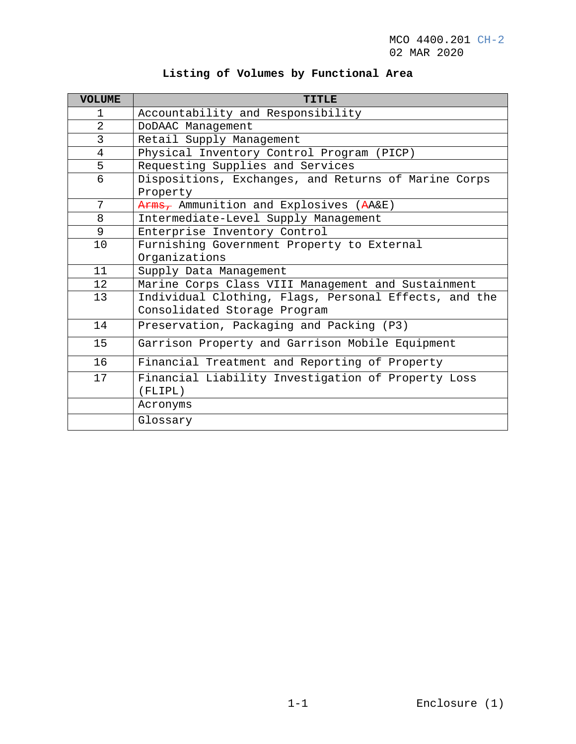| <b>VOLUME</b>  | <b>TITLE</b>                                          |
|----------------|-------------------------------------------------------|
| 1              | Accountability and Responsibility                     |
| $\overline{2}$ | DoDAAC Management                                     |
| 3              | Retail Supply Management                              |
| $\overline{4}$ | Physical Inventory Control Program (PICP)             |
| 5              | Requesting Supplies and Services                      |
| 6              | Dispositions, Exchanges, and Returns of Marine Corps  |
|                | Property                                              |
| 7              | Arms, Ammunition and Explosives (AA&E)                |
| 8              | Intermediate-Level Supply Management                  |
| 9              | Enterprise Inventory Control                          |
| 10             | Furnishing Government Property to External            |
|                | Organizations                                         |
| 11             | Supply Data Management                                |
| 12             | Marine Corps Class VIII Management and Sustainment    |
| 13             | Individual Clothing, Flags, Personal Effects, and the |
|                | Consolidated Storage Program                          |
| 14             | Preservation, Packaging and Packing (P3)              |
| 15             | Garrison Property and Garrison Mobile Equipment       |
| 16             | Financial Treatment and Reporting of Property         |
| 17             | Financial Liability Investigation of Property Loss    |
|                | (FLIPL)                                               |
|                | Acronyms                                              |
|                | Glossary                                              |

# **Listing of Volumes by Functional Area**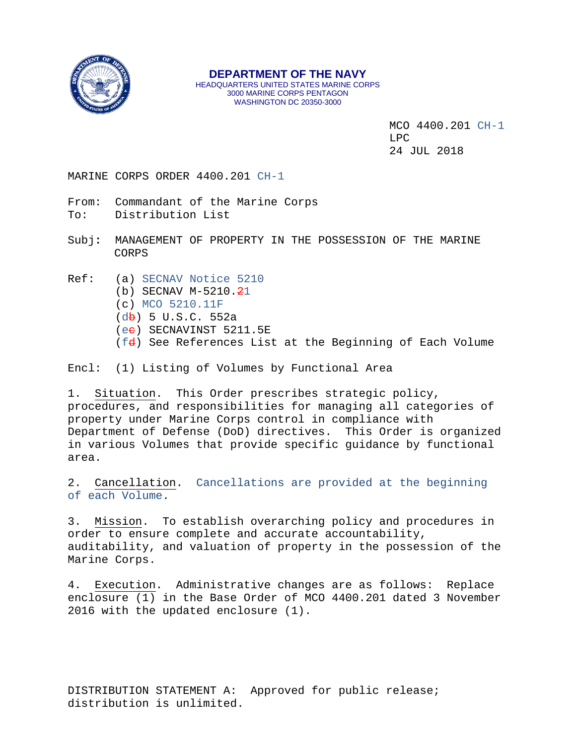

**DEPARTMENT OF THE NAVY** HEADQUARTERS UNITED STATES MARINE CORPS 3000 MARINE CORPS PENTAGON WASHINGTON DC 20350-3000

> MCO 4400.201 CH-1  $LPC$ 24 JUL 2018

MARINE CORPS ORDER 4400.201 CH-1

- From: Commandant of the Marine Corps To: Distribution List
- Subj**:** MANAGEMENT OF PROPERTY IN THE POSSESSION OF THE MARINE CORPS
- Ref: (a) SECNAV Notice 5210
	- (b) SECNAV  $M-5210.21$
	- (c) MCO 5210.11F
	- $(d\mathbf{b})$  5 U.S.C. 552a
	- (ee) SECNAVINST 5211.5E
	- (fd) See References List at the Beginning of Each Volume

Encl: (1) Listing of Volumes by Functional Area

1. Situation. This Order prescribes strategic policy, procedures, and responsibilities for managing all categories of property under Marine Corps control in compliance with Department of Defense (DoD) directives. This Order is organized in various Volumes that provide specific guidance by functional area.

2. Cancellation. Cancellations are provided at the beginning of each Volume.

3. Mission. To establish overarching policy and procedures in order to ensure complete and accurate accountability, auditability, and valuation of property in the possession of the Marine Corps.

4. Execution. Administrative changes are as follows: Replace enclosure (1) in the Base Order of MCO 4400.201 dated 3 November 2016 with the updated enclosure (1).

DISTRIBUTION STATEMENT A: Approved for public release; distribution is unlimited.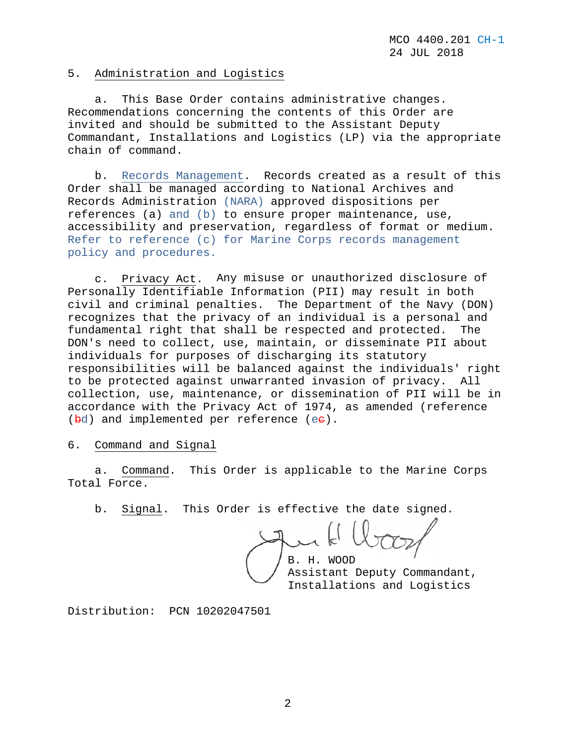### 5. Administration and Logistics

 a. This Base Order contains administrative changes. Recommendations concerning the contents of this Order are invited and should be submitted to the Assistant Deputy Commandant, Installations and Logistics (LP) via the appropriate chain of command.

 b. Records Management. Records created as a result of this Order shall be managed according to National Archives and Records Administration (NARA) approved dispositions per references (a) and (b) to ensure proper maintenance, use, accessibility and preservation, regardless of format or medium. Refer to reference (c) for Marine Corps records management policy and procedures.

 c. Privacy Act. Any misuse or unauthorized disclosure of Personally Identifiable Information (PII) may result in both civil and criminal penalties. The Department of the Navy (DON) recognizes that the privacy of an individual is a personal and fundamental right that shall be respected and protected. The DON's need to collect, use, maintain, or disseminate PII about individuals for purposes of discharging its statutory responsibilities will be balanced against the individuals' right to be protected against unwarranted invasion of privacy. All collection, use, maintenance, or dissemination of PII will be in accordance with the Privacy Act of 1974, as amended (reference  $(\frac{bd}{cd})$  and implemented per reference  $(ee)$ .

6. Command and Signal

 a. Command. This Order is applicable to the Marine Corps Total Force.

b. Signal. This Order is effective the date signed.

B. H. WOOD

Assistant Deputy Commandant, Installations and Logistics

Distribution: PCN 10202047501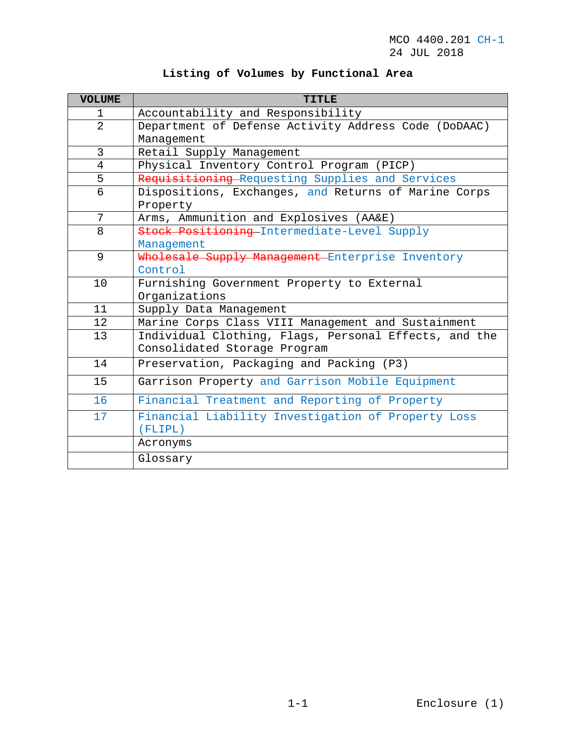|  |  |  |  | Listing of Volumes by Functional Area |  |  |
|--|--|--|--|---------------------------------------|--|--|
|--|--|--|--|---------------------------------------|--|--|

| <b>VOLUME</b>  | <b>TITLE</b>                                          |
|----------------|-------------------------------------------------------|
| 1              | Accountability and Responsibility                     |
| $\overline{2}$ | Department of Defense Activity Address Code (DoDAAC)  |
|                | Management                                            |
| 3              | Retail Supply Management                              |
| 4              | Physical Inventory Control Program (PICP)             |
| 5              | Requisitioning-Requesting Supplies and Services       |
| 6              | Dispositions, Exchanges, and Returns of Marine Corps  |
|                | Property                                              |
| 7              | Arms, Ammunition and Explosives (AA&E)                |
| 8              | Stock Positioning Intermediate-Level Supply           |
|                | Management                                            |
| 9              | Wholesale Supply Management Enterprise Inventory      |
|                | Control                                               |
| 10             | Furnishing Government Property to External            |
|                | Organizations                                         |
| 11             | Supply Data Management                                |
| 12             | Marine Corps Class VIII Management and Sustainment    |
| 13             | Individual Clothing, Flags, Personal Effects, and the |
|                | Consolidated Storage Program                          |
| 14             | Preservation, Packaging and Packing (P3)              |
| 15             | Garrison Property and Garrison Mobile Equipment       |
| 16             | Financial Treatment and Reporting of Property         |
| 17             | Financial Liability Investigation of Property Loss    |
|                | (FLIPL)                                               |
|                | Acronyms                                              |
|                | Glossary                                              |
|                |                                                       |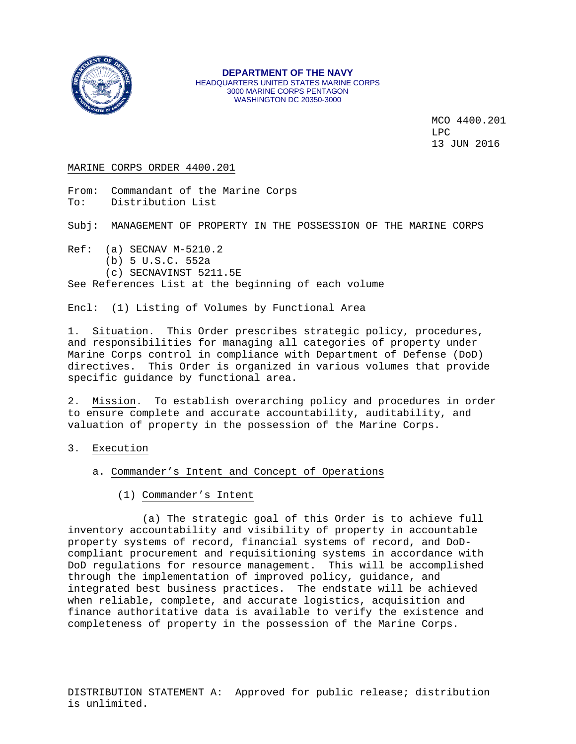

#### **DEPARTMENT OF THE NAVY** HEADQUARTERS UNITED STATES MARINE CORPS 3000 MARINE CORPS PENTAGON WASHINGTON DC 20350-3000

MCO 4400.201  $LPC$ 13 JUN 2016

#### MARINE CORPS ORDER 4400.201

From: Commandant of the Marine Corps<br>To: Distribution List Distribution List

Subj**:** MANAGEMENT OF PROPERTY IN THE POSSESSION OF THE MARINE CORPS

- Ref: (a) SECNAV M-5210.2
	- (b) 5 U.S.C. 552a
	- (c) SECNAVINST 5211.5E

See References List at the beginning of each volume

Encl: (1) Listing of Volumes by Functional Area

1. Situation. This Order prescribes strategic policy, procedures, and responsibilities for managing all categories of property under Marine Corps control in compliance with Department of Defense (DoD) directives. This Order is organized in various volumes that provide specific guidance by functional area.

2. Mission. To establish overarching policy and procedures in order to ensure complete and accurate accountability, auditability, and valuation of property in the possession of the Marine Corps.

- 3. Execution
	- a. Commander's Intent and Concept of Operations
		- (1) Commander's Intent

 (a) The strategic goal of this Order is to achieve full inventory accountability and visibility of property in accountable property systems of record, financial systems of record, and DoDcompliant procurement and requisitioning systems in accordance with<br>DoD requlations for resource management. This will be accomplished DoD regulations for resource management. through the implementation of improved policy, guidance, and integrated best business practices. The endstate will be achieved when reliable, complete, and accurate logistics, acquisition and finance authoritative data is available to verify the existence and completeness of property in the possession of the Marine Corps.

DISTRIBUTION STATEMENT A: Approved for public release; distribution is unlimited.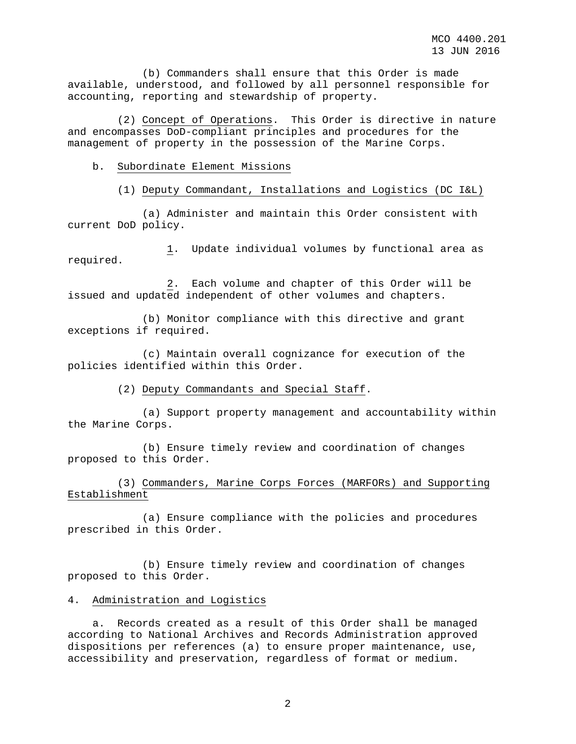(b) Commanders shall ensure that this Order is made available, understood, and followed by all personnel responsible for accounting, reporting and stewardship of property.

 (2) Concept of Operations. This Order is directive in nature and encompasses DoD-compliant principles and procedures for the management of property in the possession of the Marine Corps.

#### b. Subordinate Element Missions

(1) Deputy Commandant, Installations and Logistics (DC I&L)

 (a) Administer and maintain this Order consistent with current DoD policy.

 1. Update individual volumes by functional area as required.

 2. Each volume and chapter of this Order will be issued and updated independent of other volumes and chapters.

 (b) Monitor compliance with this directive and grant exceptions if required.

 (c) Maintain overall cognizance for execution of the policies identified within this Order.

(2) Deputy Commandants and Special Staff.

 (a) Support property management and accountability within the Marine Corps.

 (b) Ensure timely review and coordination of changes proposed to this Order.

 (3) Commanders, Marine Corps Forces (MARFORs) and Supporting Establishment

 (a) Ensure compliance with the policies and procedures prescribed in this Order.

 (b) Ensure timely review and coordination of changes proposed to this Order.

#### 4. Administration and Logistics

 a. Records created as a result of this Order shall be managed according to National Archives and Records Administration approved dispositions per references (a) to ensure proper maintenance, use, accessibility and preservation, regardless of format or medium.

2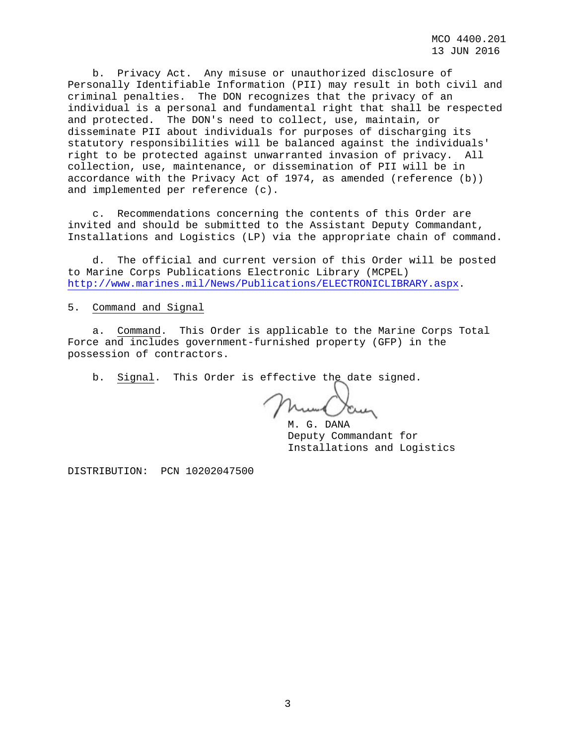MCO 4400.201 13 JUN 2016

 b. Privacy Act. Any misuse or unauthorized disclosure of Personally Identifiable Information (PII) may result in both civil and criminal penalties. The DON recognizes that the privacy of an individual is a personal and fundamental right that shall be respected and protected. The DON's need to collect, use, maintain, or disseminate PII about individuals for purposes of discharging its statutory responsibilities will be balanced against the individuals' right to be protected against unwarranted invasion of privacy. All collection, use, maintenance, or dissemination of PII will be in accordance with the Privacy Act of 1974, as amended (reference (b)) and implemented per reference (c).

 c. Recommendations concerning the contents of this Order are invited and should be submitted to the Assistant Deputy Commandant, Installations and Logistics (LP) via the appropriate chain of command.

 d. The official and current version of this Order will be posted to Marine Corps Publications Electronic Library (MCPEL) [http://www.marines.mil/News/Publications/ELECTRONICLIBRARY.aspx.](http://www.marines.mil/News/Publications/ELECTRONICLIBRARY.aspx)

5. Command and Signal

 a. Command. This Order is applicable to the Marine Corps Total Force and includes government-furnished property (GFP) in the possession of contractors.

b. Signal. This Order is effective the date signed.

mun Va

M. G. DANA Deputy Commandant for Installations and Logistics

DISTRIBUTION: PCN 10202047500